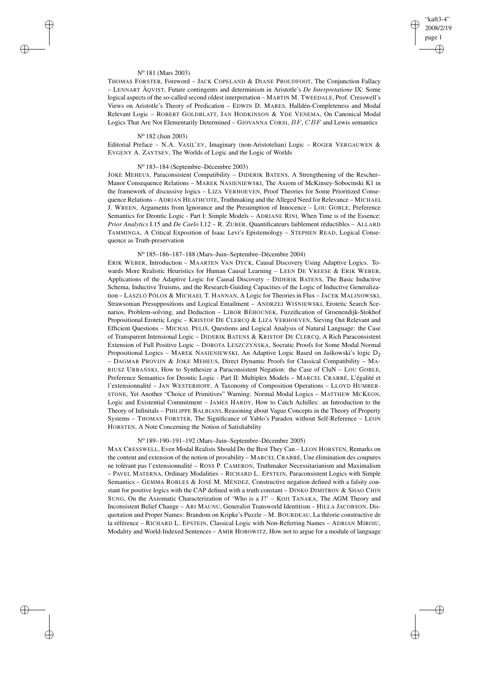## "kaft3-4" 2008/2/19 page 1 ✐ ✐

✐

✐

### N<sup>o</sup> 181 (Mars 2003)

 $\rightarrow$ 

 $\rightarrow$ 

✐

✐

THOMAS FORSTER, Foreword – JACK COPELAND & DIANE PROUDFOOT, The Conjunction Fallacy – LENNART ÅQVIST, Future contingents and determinism in Aristotle's *De Interpretatione* IX: Some logical aspects of the so-called second oldest interpretation – MARTIN M. TWEEDALE, Prof. Cresswell's Views on Aristotle's Theory of Predication – EDWIN D. MARES, Halldén-Completeness and Modal Relevant Logic – ROBERT GOLDBLATT, IAN HODKINSON & YDE VENEMA, On Canonical Modal Logics That Are Not Elementarily Determined – GIOVANNA CORSI, BF, CBF and Lewis semantics

# N<sup>o</sup> 182 (Juin 2003)

Editorial Preface – N.A. VASIL'EV, Imaginary (non-Aristotelian) Logic – ROGER VERGAUWEN & EVGENY A. ZAYTSEV, The Worlds of Logic and the Logic of Worlds

# N<sup>o</sup> 183–184 (Septembre–Décembre 2003)

JOKE MEHEUS, Paraconsistent Compatibility – DIDERIK BATENS, A Strengthening of the Rescher– Manor Consequence Relations – MAREK NASIENIEWSKI, The Axiom of McKinsey-Sobocinski K1 in the framework of discussive logics – LIZA VERHOEVEN, Proof Theories for Some Prioritized Consequence Relations – ADRIAN HEATHCOTE, Truthmaking and the Alleged Need for Relevance – MICHAEL J. WREEN, Arguments from Ignorance and the Presumption of Innocence – LOU GOBLE, Preference Semantics for Deontic Logic - Part I: Simple Models – ADRIANE RINI, When Time is of the Essence: *Prior Analytics* I.15 and *De Caelo* I.12 – R. ZUBER, Quantificateurs faiblement réductibles – ALLARD TAMMINGA, A Critical Exposition of Isaac Levi's Epistemology – STEPHEN READ, Logical Consequence as Truth-preservation

#### N<sup>o</sup> 185–186–187–188 (Mars–Juin–Septembre–Décembre 2004)

ERIK WEBER, Introduction – MAARTEN VAN DYCK, Causal Discovery Using Adaptive Logics. Towards More Realistic Heuristics for Human Causal Learning – LEEN DE VREESE & ERIK WEBER, Applications of the Adaptive Logic for Causal Discovery – DIDERIK BATENS, The Basic Inductive Schema, Inductive Truisms, and the Research-Guiding Capacities of the Logic of Inductive Generalization – LÁSZLÓ PÓLOS & MICHAEL T. HANNAN, A Logic for Theories in Flux – JACEK MALINOWSKI, Strawsonian Presuppositions and Logical Entailment - ANDRZEJ WISNIEWSKI, Erotetic Search Scenarios, Problem-solving, and Deduction - LIBOR BĚHOUNEK, Fuzzification of Groenendijk-Stokhof Propositional Erotetic Logic – KRISTOF DE CLERCQ & LIZA VERHOEVEN, Sieving Out Relevant and Efficient Questions – MICHAL PELIŠ, Questions and Logical Analysis of Natural Language: the Case of Transparent Intensional Logic – DIDERIK BATENS & KRISTOF DE CLERCQ, A Rich Paraconsistent Extension of Full Positive Logic – DOROTA LESZCZYŃSKA, Socratic Proofs for Some Modal Normal Propositional Logics – MAREK NASIENIEWSKI, An Adaptive Logic Based on Jaskowski's logic  $D_2$ – DAGMAR PROVIJN & JOKE MEHEUS, Direct Dynamic Proofs for Classical Compatibility – MA-RIUSZ URBAŃSKI, How to Synthesize a Paraconsistent Negation: the Case of CluN – LOU GOBLE, Preference Semantics for Deontic Logic - Part II: Multiplex Models – MARCEL CRABBÉ, L'égalité et l'extensionnalité – JAN WESTERHOFF, A Taxonomy of Composition Operations – LLOYD HUMBER-STONE, Yet Another "Choice of Primitives" Warning: Normal Modal Logics – MATTHEW MCKEON, Logic and Existential Commitment – JAMES HARDY, How to Catch Achilles: an Introduction to the Theory of Infinitals – PHILIPPE BALBIANI, Reasoning about Vague Concepts in the Theory of Property Systems – THOMAS FORSTER, The Significance of Yablo's Paradox without Self-Reference – LEON HORSTEN, A Note Concerning the Notion of Satisfiability

#### N<sup>o</sup> 189–190–191–192 (Mars–Juin–Septembre–Décembre 2005)

MAX CRESSWELL, Even Modal Realists Should Do the Best They Can – LEON HORSTEN, Remarks on the content and extension of the notion of provability – MARCEL CRABBÉ, Une élimination des coupures ne tolérant pas l'extensionnalité – ROSS P. CAMERON, Truthmaker Necessitarianism and Maximalism – PAVEL MATERNA, Ordinary Modalities – RICHARD L. EPSTEIN, Paraconsistent Logics with Simple Semantics – GEMMA ROBLES & JOSÉ M. MÉNDEZ, Constructive negation defined with a falsity constant for positive logics with the CAP defined with a truth constant – DINKO DIMITROV & SHAO CHIN SUNG, On the Axiomatic Characterization of 'Who is a J?' – KOJI TANAKA, The AGM Theory and Inconsistent Belief Change – ARI MAUNU, Generalist Transworld Identitism – HILLA JACOBSON, Disquotation and Proper Names: Brandom on Kripke's Puzzle – M. BOURDEAU, La théorie constructive de la référence – RICHARD L. EPSTEIN, Classical Logic with Non-Referring Names – ADRIAN MIROIU, Modality and World-Indexed Sentences – AMIR HOROWITZ, How not to argue for a module of language